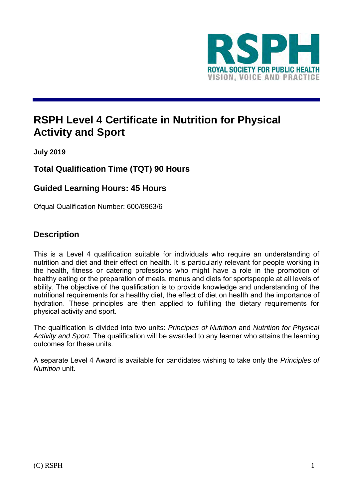

# **RSPH Level 4 Certificate in Nutrition for Physical Activity and Sport**

**July 2019**

## **Total Qualification Time (TQT) 90 Hours**

### **Guided Learning Hours: 45 Hours**

Ofqual Qualification Number: 600/6963/6

### **Description**

This is a Level 4 qualification suitable for individuals who require an understanding of nutrition and diet and their effect on health. It is particularly relevant for people working in the health, fitness or catering professions who might have a role in the promotion of healthy eating or the preparation of meals, menus and diets for sportspeople at all levels of ability. The objective of the qualification is to provide knowledge and understanding of the nutritional requirements for a healthy diet, the effect of diet on health and the importance of hydration. These principles are then applied to fulfilling the dietary requirements for physical activity and sport.

The qualification is divided into two units: *Principles of Nutrition* and *Nutrition for Physical Activity and Sport.* The qualification will be awarded to any learner who attains the learning outcomes for these units.

A separate Level 4 Award is available for candidates wishing to take only the *Principles of Nutrition* unit.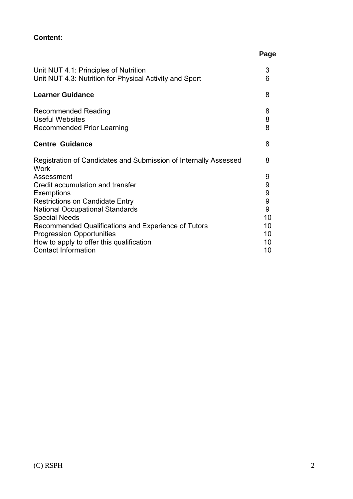### **Content:**

|                                                                                                                                                                                 | Page                        |
|---------------------------------------------------------------------------------------------------------------------------------------------------------------------------------|-----------------------------|
| Unit NUT 4.1: Principles of Nutrition<br>Unit NUT 4.3: Nutrition for Physical Activity and Sport                                                                                | 3<br>6                      |
| <b>Learner Guidance</b>                                                                                                                                                         | 8                           |
| <b>Recommended Reading</b><br><b>Useful Websites</b><br><b>Recommended Prior Learning</b>                                                                                       | 8<br>8<br>8                 |
| <b>Centre Guidance</b>                                                                                                                                                          | 8                           |
| Registration of Candidates and Submission of Internally Assessed<br>Work                                                                                                        | 8                           |
| Assessment<br>Credit accumulation and transfer<br><b>Exemptions</b><br><b>Restrictions on Candidate Entry</b><br><b>National Occupational Standards</b><br><b>Special Needs</b> | 9<br>9<br>9<br>9<br>9<br>10 |
| Recommended Qualifications and Experience of Tutors<br><b>Progression Opportunities</b><br>How to apply to offer this qualification                                             | 10<br>10<br>10              |
| <b>Contact Information</b>                                                                                                                                                      | 10                          |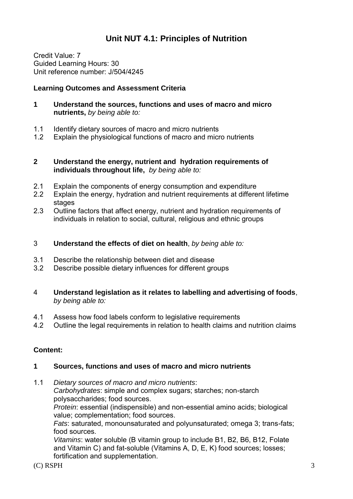## **Unit NUT 4.1: Principles of Nutrition**

Credit Value: 7 Guided Learning Hours: 30 Unit reference number: J/504/4245

#### **Learning Outcomes and Assessment Criteria**

- **1 Understand the sources, functions and uses of macro and micro nutrients,** *by being able to:*
- 1.1 Identify dietary sources of macro and micro nutrients
- 1.2 Explain the physiological functions of macro and micro nutrients

#### **2 Understand the energy, nutrient and hydration requirements of individuals throughout life,** *by being able to:*

- 2.1 Explain the components of energy consumption and expenditure
- 2.2 Explain the energy, hydration and nutrient requirements at different lifetime stages
- 2.3 Outline factors that affect energy, nutrient and hydration requirements of individuals in relation to social, cultural, religious and ethnic groups
- 3 **Understand the effects of diet on health**, *by being able to:*
- 3.1 Describe the relationship between diet and disease
- 3.2 Describe possible dietary influences for different groups
- 4 **Understand legislation as it relates to labelling and advertising of foods**, *by being able to:*
- 4.1 Assess how food labels conform to legislative requirements
- 4.2 Outline the legal requirements in relation to health claims and nutrition claims

#### **Content:**

#### **1 Sources, functions and uses of macro and micro nutrients**

1.1 *Dietary sources of macro and micro nutrients*: *Carbohydrates*: simple and complex sugars; starches; non-starch polysaccharides; food sources.

*Protein*: essential (indispensible) and non-essential amino acids; biological value; complementation; food sources.

*Fats*: saturated, monounsaturated and polyunsaturated; omega 3; trans-fats; food sources.

*Vitamins*: water soluble (B vitamin group to include B1, B2, B6, B12, Folate and Vitamin C) and fat-soluble (Vitamins A, D, E, K) food sources; losses; fortification and supplementation.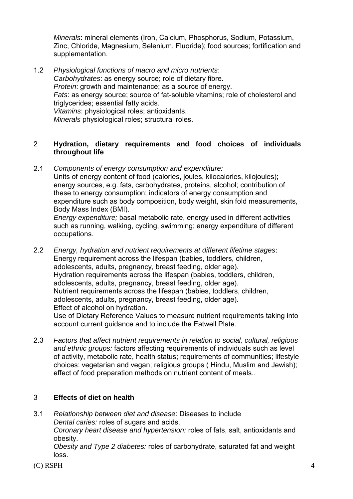*Minerals*: mineral elements (Iron, Calcium, Phosphorus, Sodium, Potassium, Zinc, Chloride, Magnesium, Selenium, Fluoride); food sources; fortification and supplementation.

1.2 *Physiological functions of macro and micro nutrients*: *Carbohydrates*: as energy source; role of dietary fibre. *Protein*: growth and maintenance; as a source of energy. *Fats*: as energy source; source of fat-soluble vitamins; role of cholesterol and triglycerides; essential fatty acids. *Vitamins*: physiological roles; antioxidants. *Minerals* physiological roles; structural roles.

#### 2 **Hydration, dietary requirements and food choices of individuals throughout life**

2.1 *Components of energy consumption and expenditure:*  Units of energy content of food (calories, joules, kilocalories, kilojoules); energy sources, e.g. fats, carbohydrates, proteins, alcohol; contribution of these to energy consumption; indicators of energy consumption and expenditure such as body composition, body weight, skin fold measurements, Body Mass Index (BMI).

*Energy expenditure;* basal metabolic rate, energy used in different activities such as running, walking, cycling, swimming; energy expenditure of different occupations.

- 2.2 *Energy, hydration and nutrient requirements at different lifetime stages*: Energy requirement across the lifespan (babies, toddlers, children, adolescents, adults, pregnancy, breast feeding, older age). Hydration requirements across the lifespan (babies, toddlers, children, adolescents, adults, pregnancy, breast feeding, older age). Nutrient requirements across the lifespan (babies, toddlers, children, adolescents, adults, pregnancy, breast feeding, older age). Effect of alcohol on hydration. Use of Dietary Reference Values to measure nutrient requirements taking into account current guidance and to include the Eatwell Plate.
- 2.3 *Factors that affect nutrient requirements in relation to social, cultural, religious and ethnic groups:* factors affecting requirements of individuals such as level of activity, metabolic rate, health status; requirements of communities; lifestyle choices: vegetarian and vegan; religious groups ( Hindu, Muslim and Jewish); effect of food preparation methods on nutrient content of meals..

#### 3 **Effects of diet on health**

3.1 *Relationship between diet and disease*: Diseases to include *Dental caries:* roles of sugars and acids. *Coronary heart disease and hypertension:* roles of fats, salt, antioxidants and obesity.

*Obesity and Type 2 diabetes:* roles of carbohydrate, saturated fat and weight loss.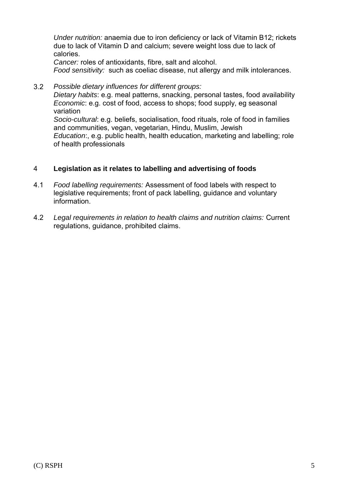*Under nutrition:* anaemia due to iron deficiency or lack of Vitamin B12; rickets due to lack of Vitamin D and calcium; severe weight loss due to lack of calories.

*Cancer:* roles of antioxidants, fibre, salt and alcohol. *Food sensitivity:* such as coeliac disease, nut allergy and milk intolerances.

3.2 *Possible dietary influences for different groups: Dietary habits*: e.g. meal patterns, snacking, personal tastes, food availability *Economic*: e.g. cost of food, access to shops; food supply, eg seasonal variation *Socio-cultural*: e.g. beliefs, socialisation, food rituals, role of food in families and communities, vegan, vegetarian, Hindu, Muslim, Jewish *Education*:, e.g. public health, health education, marketing and labelling; role of health professionals

#### 4 **Legislation as it relates to labelling and advertising of foods**

- 4.1 *Food labelling requirements:* Assessment of food labels with respect to legislative requirements; front of pack labelling, guidance and voluntary information.
- 4.2 *Legal requirements in relation to health claims and nutrition claims:* Current regulations, guidance, prohibited claims.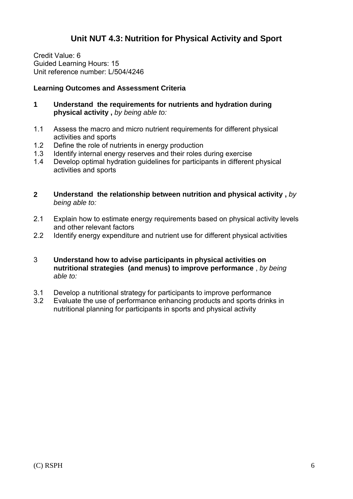## **Unit NUT 4.3: Nutrition for Physical Activity and Sport**

Credit Value: 6 Guided Learning Hours: 15 Unit reference number: L/504/4246

#### **Learning Outcomes and Assessment Criteria**

- **1 Understand the requirements for nutrients and hydration during physical activity ,** *by being able to:*
- 1.1 Assess the macro and micro nutrient requirements for different physical activities and sports
- 1.2 Define the role of nutrients in energy production
- 1.3 Identify internal energy reserves and their roles during exercise
- 1.4 Develop optimal hydration guidelines for participants in different physical activities and sports
- **2 Understand the relationship between nutrition and physical activity ,** *by being able to:*
- 2.1 Explain how to estimate energy requirements based on physical activity levels and other relevant factors
- 2.2 Identify energy expenditure and nutrient use for different physical activities
- 3 **Understand how to advise participants in physical activities on nutritional strategies (and menus) to improve performance** , *by being able to:*
- 3.1 Develop a nutritional strategy for participants to improve performance
- 3.2 Evaluate the use of performance enhancing products and sports drinks in nutritional planning for participants in sports and physical activity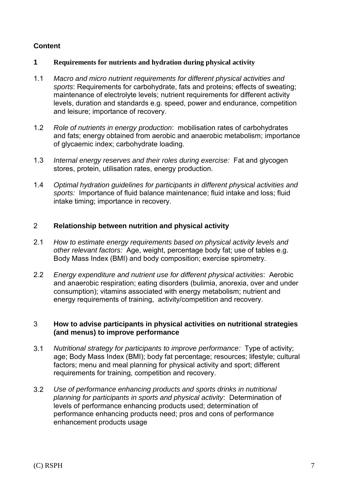#### **Content**

#### **1 Requirements for nutrients and hydration during physical activity**

- 1.1 *Macro and micro nutrient requirements for different physical activities and sports*: Requirements for carbohydrate, fats and proteins; effects of sweating; maintenance of electrolyte levels; nutrient requirements for different activity levels, duration and standards e.g. speed, power and endurance, competition and leisure; importance of recovery.
- 1.2 *Role of nutrients in energy production*: mobilisation rates of carbohydrates and fats; energy obtained from aerobic and anaerobic metabolism; importance of glycaemic index; carbohydrate loading.
- 1.3 *Internal energy reserves and their roles during exercise:* Fat and glycogen stores, protein, utilisation rates, energy production.
- 1.4 *Optimal hydration guidelines for participants in different physical activities and sports:* Importance of fluid balance maintenance; fluid intake and loss; fluid intake timing; importance in recovery.

#### 2 **Relationship between nutrition and physical activity**

- 2.1 *How to estimate energy requirements based on physical activity levels and other relevant factors:* Age, weight, percentage body fat; use of tables e.g. Body Mass Index (BMI) and body composition; exercise spirometry.
- 2.2 *Energy expenditure and nutrient use for different physical activities*: Aerobic and anaerobic respiration; eating disorders (bulimia, anorexia, over and under consumption); vitamins associated with energy metabolism; nutrient and energy requirements of training, activity/competition and recovery.

#### 3 **How to advise participants in physical activities on nutritional strategies (and menus) to improve performance**

- 3.1 *Nutritional strategy for participants to improve performance:* Type of activity; age; Body Mass Index (BMI); body fat percentage; resources; lifestyle; cultural factors; menu and meal planning for physical activity and sport; different requirements for training, competition and recovery.
- 3.2 *Use of performance enhancing products and sports drinks in nutritional planning for participants in sports and physical activity*: Determination of levels of performance enhancing products used; determination of performance enhancing products need; pros and cons of performance enhancement products usage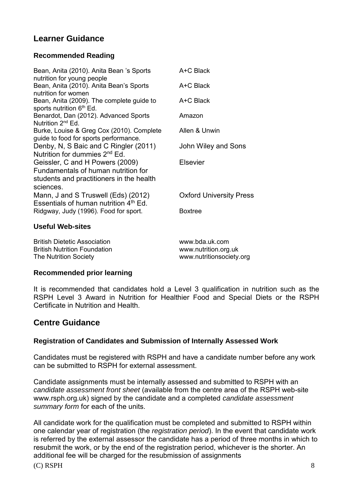## **Learner Guidance**

#### **Recommended Reading**

| Bean, Anita (2010). Anita Bean 's Sports<br>nutrition for young people                                                          | A+C Black                      |
|---------------------------------------------------------------------------------------------------------------------------------|--------------------------------|
| Bean, Anita (2010). Anita Bean's Sports<br>nutrition for women                                                                  | A+C Black                      |
| Bean, Anita (2009). The complete guide to<br>sports nutrition 6 <sup>th</sup> Ed.                                               | A+C Black                      |
| Benardot, Dan (2012). Advanced Sports<br>Nutrition 2 <sup>nd</sup> Ed.                                                          | Amazon                         |
| Burke, Louise & Greg Cox (2010). Complete<br>guide to food for sports performance.                                              | Allen & Unwin                  |
| Denby, N, S Baic and C Ringler (2011)<br>Nutrition for dummies 2 <sup>nd</sup> Ed.                                              | John Wiley and Sons            |
| Geissler, C and H Powers (2009)<br>Fundamentals of human nutrition for<br>students and practitioners in the health<br>sciences. | <b>Elsevier</b>                |
| Mann, J and S Truswell (Eds) (2012)<br>Essentials of human nutrition 4 <sup>th</sup> Ed.                                        | <b>Oxford University Press</b> |
| Ridgway, Judy (1996). Food for sport.                                                                                           | <b>Boxtree</b>                 |
| <b>Useful Web-sites</b>                                                                                                         |                                |
|                                                                                                                                 |                                |

| <b>British Dietetic Association</b> | www.bda.uk.com           |
|-------------------------------------|--------------------------|
| <b>British Nutrition Foundation</b> | www.nutrition.org.uk     |
| <b>The Nutrition Society</b>        | www.nutritionsociety.org |

#### **Recommended prior learning**

It is recommended that candidates hold a Level 3 qualification in nutrition such as the RSPH Level 3 Award in Nutrition for Healthier Food and Special Diets or the RSPH Certificate in Nutrition and Health.

### **Centre Guidance**

#### **Registration of Candidates and Submission of Internally Assessed Work**

Candidates must be registered with RSPH and have a candidate number before any work can be submitted to RSPH for external assessment.

Candidate assignments must be internally assessed and submitted to RSPH with an *candidate assessment front sheet* (available from the centre area of the RSPH web-site www.rsph.org.uk) signed by the candidate and a completed *candidate assessment summary form* for each of the units.

(C) RSPH 8 All candidate work for the qualification must be completed and submitted to RSPH within one calendar year of registration (the *registration period*). In the event that candidate work is referred by the external assessor the candidate has a period of three months in which to resubmit the work, or by the end of the registration period, whichever is the shorter. An additional fee will be charged for the resubmission of assignments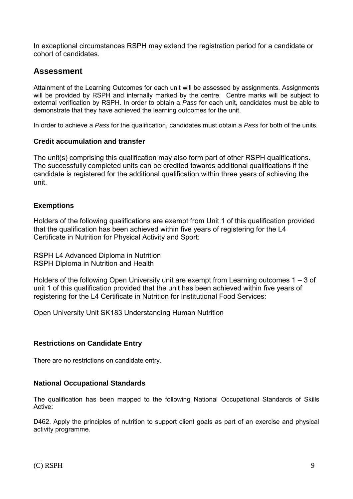In exceptional circumstances RSPH may extend the registration period for a candidate or cohort of candidates.

## **Assessment**

Attainment of the Learning Outcomes for each unit will be assessed by assignments. Assignments will be provided by RSPH and internally marked by the centre. Centre marks will be subject to external verification by RSPH. In order to obtain a *Pass* for each unit, candidates must be able to demonstrate that they have achieved the learning outcomes for the unit.

In order to achieve a *Pass* for the qualification, candidates must obtain a *Pass* for both of the units.

#### **Credit accumulation and transfer**

The unit(s) comprising this qualification may also form part of other RSPH qualifications. The successfully completed units can be credited towards additional qualifications if the candidate is registered for the additional qualification within three years of achieving the unit.

#### **Exemptions**

Holders of the following qualifications are exempt from Unit 1 of this qualification provided that the qualification has been achieved within five years of registering for the L4 Certificate in Nutrition for Physical Activity and Sport:

RSPH L4 Advanced Diploma in Nutrition RSPH Diploma in Nutrition and Health

Holders of the following Open University unit are exempt from Learning outcomes 1 – 3 of unit 1 of this qualification provided that the unit has been achieved within five years of registering for the L4 Certificate in Nutrition for Institutional Food Services:

Open University Unit SK183 Understanding Human Nutrition

#### **Restrictions on Candidate Entry**

There are no restrictions on candidate entry.

#### **National Occupational Standards**

The qualification has been mapped to the following National Occupational Standards of Skills Active:

D462. Apply the principles of nutrition to support client goals as part of an exercise and physical activity programme.